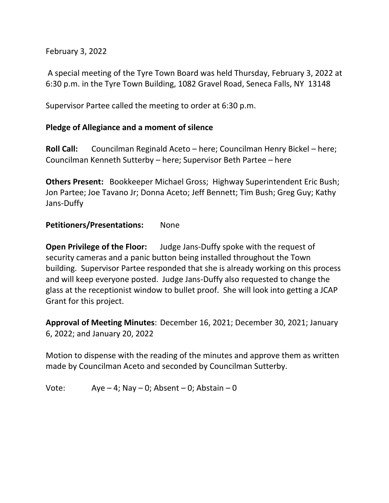February 3, 2022

A special meeting of the Tyre Town Board was held Thursday, February 3, 2022 at 6:30 p.m. in the Tyre Town Building, 1082 Gravel Road, Seneca Falls, NY 13148

Supervisor Partee called the meeting to order at 6:30 p.m.

## **Pledge of Allegiance and a moment of silence**

**Roll Call:** Councilman Reginald Aceto – here; Councilman Henry Bickel – here; Councilman Kenneth Sutterby – here; Supervisor Beth Partee – here

**Others Present:** Bookkeeper Michael Gross; Highway Superintendent Eric Bush; Jon Partee; Joe Tavano Jr; Donna Aceto; Jeff Bennett; Tim Bush; Greg Guy; Kathy Jans-Duffy

#### **Petitioners/Presentations:** None

**Open Privilege of the Floor:** Judge Jans-Duffy spoke with the request of security cameras and a panic button being installed throughout the Town building. Supervisor Partee responded that she is already working on this process and will keep everyone posted. Judge Jans-Duffy also requested to change the glass at the receptionist window to bullet proof. She will look into getting a JCAP Grant for this project.

**Approval of Meeting Minutes**: December 16, 2021; December 30, 2021; January 6, 2022; and January 20, 2022

Motion to dispense with the reading of the minutes and approve them as written made by Councilman Aceto and seconded by Councilman Sutterby.

Vote:  $Aye - 4$ ; Nay  $- 0$ ; Absent  $- 0$ ; Abstain  $- 0$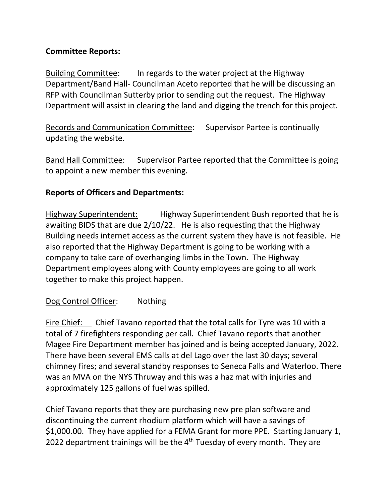# **Committee Reports:**

Building Committee: In regards to the water project at the Highway Department/Band Hall- Councilman Aceto reported that he will be discussing an RFP with Councilman Sutterby prior to sending out the request. The Highway Department will assist in clearing the land and digging the trench for this project.

Records and Communication Committee: Supervisor Partee is continually updating the website.

Band Hall Committee: Supervisor Partee reported that the Committee is going to appoint a new member this evening.

# **Reports of Officers and Departments:**

Highway Superintendent: Highway Superintendent Bush reported that he is awaiting BIDS that are due 2/10/22. He is also requesting that the Highway Building needs internet access as the current system they have is not feasible. He also reported that the Highway Department is going to be working with a company to take care of overhanging limbs in the Town. The Highway Department employees along with County employees are going to all work together to make this project happen.

# Dog Control Officer: Nothing

Fire Chief: Chief Tavano reported that the total calls for Tyre was 10 with a total of 7 firefighters responding per call. Chief Tavano reports that another Magee Fire Department member has joined and is being accepted January, 2022. There have been several EMS calls at del Lago over the last 30 days; several chimney fires; and several standby responses to Seneca Falls and Waterloo. There was an MVA on the NYS Thruway and this was a haz mat with injuries and approximately 125 gallons of fuel was spilled.

Chief Tavano reports that they are purchasing new pre plan software and discontinuing the current rhodium platform which will have a savings of \$1,000.00. They have applied for a FEMA Grant for more PPE. Starting January 1, 2022 department trainings will be the  $4<sup>th</sup>$  Tuesday of every month. They are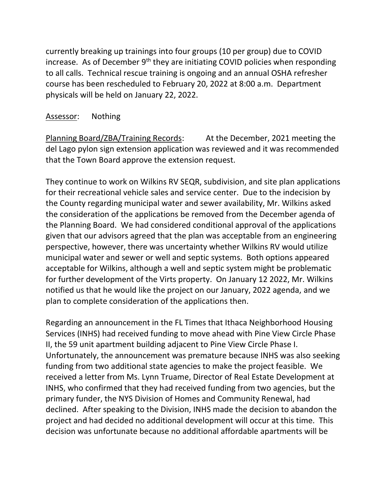currently breaking up trainings into four groups (10 per group) due to COVID increase. As of December 9<sup>th</sup> they are initiating COVID policies when responding to all calls. Technical rescue training is ongoing and an annual OSHA refresher course has been rescheduled to February 20, 2022 at 8:00 a.m. Department physicals will be held on January 22, 2022.

# Assessor: Nothing

Planning Board/ZBA/Training Records: At the December, 2021 meeting the del Lago pylon sign extension application was reviewed and it was recommended that the Town Board approve the extension request.

They continue to work on Wilkins RV SEQR, subdivision, and site plan applications for their recreational vehicle sales and service center. Due to the indecision by the County regarding municipal water and sewer availability, Mr. Wilkins asked the consideration of the applications be removed from the December agenda of the Planning Board. We had considered conditional approval of the applications given that our advisors agreed that the plan was acceptable from an engineering perspective, however, there was uncertainty whether Wilkins RV would utilize municipal water and sewer or well and septic systems. Both options appeared acceptable for Wilkins, although a well and septic system might be problematic for further development of the Virts property. On January 12 2022, Mr. Wilkins notified us that he would like the project on our January, 2022 agenda, and we plan to complete consideration of the applications then.

Regarding an announcement in the FL Times that Ithaca Neighborhood Housing Services (INHS) had received funding to move ahead with Pine View Circle Phase II, the 59 unit apartment building adjacent to Pine View Circle Phase I. Unfortunately, the announcement was premature because INHS was also seeking funding from two additional state agencies to make the project feasible. We received a letter from Ms. Lynn Truame, Director of Real Estate Development at INHS, who confirmed that they had received funding from two agencies, but the primary funder, the NYS Division of Homes and Community Renewal, had declined. After speaking to the Division, INHS made the decision to abandon the project and had decided no additional development will occur at this time. This decision was unfortunate because no additional affordable apartments will be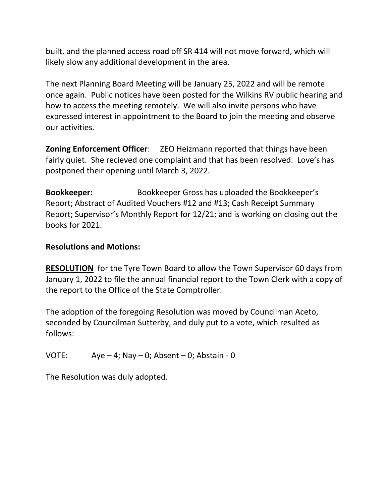built, and the planned access road off SR 414 will not move forward, which will likely slow any additional development in the area.

The next Planning Board Meeting will be January 25, 2022 and will be remote once again. Public notices have been posted for the Wilkins RV public hearing and how to access the meeting remotely. We will also invite persons who have expressed interest in appointment to the Board to join the meeting and observe our activities.

**Zoning Enforcement Officer:** ZEO Heizmann reported that things have been fairly quiet. She recieved one complaint and that has been resolved. Love's has postponed their opening until March 3, 2022.

**Bookkeeper:** Bookkeeper Gross has uploaded the Bookkeeper's Report; Abstract of Audited Vouchers #12 and #13; Cash Receipt Summary Report; Supervisor's Monthly Report for 12/21; and is working on closing out the books for 2021.

#### **Resolutions and Motions:**

**RESOLUTION** for the Tyre Town Board to allow the Town Supervisor 60 days from January 1, 2022 to file the annual financial report to the Town Clerk with a copy of the report to the Office of the State Comptroller.

The adoption of the foregoing Resolution was moved by Councilman Aceto, seconded by Councilman Sutterby, and duly put to a vote, which resulted as follows:

VOTE:  $Aye-4$ ; Nay  $-0$ ; Absent  $-0$ ; Abstain  $-0$ 

The Resolution was duly adopted.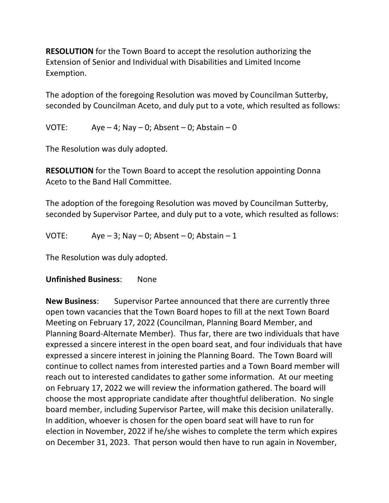**RESOLUTION** for the Town Board to accept the resolution authorizing the Extension of Senior and Individual with Disabilities and Limited Income Exemption.

The adoption of the foregoing Resolution was moved by Councilman Sutterby, seconded by Councilman Aceto, and duly put to a vote, which resulted as follows:

VOTE:  $Aye-4; Nay-0; Absent-0; Abstatin-0$ 

The Resolution was duly adopted.

**RESOLUTION** for the Town Board to accept the resolution appointing Donna Aceto to the Band Hall Committee.

The adoption of the foregoing Resolution was moved by Councilman Sutterby, seconded by Supervisor Partee, and duly put to a vote, which resulted as follows:

VOTE: Aye  $-3$ ; Nay  $-0$ ; Absent  $-0$ ; Abstain  $-1$ 

The Resolution was duly adopted.

## **Unfinished Business**: None

**New Business**: Supervisor Partee announced that there are currently three open town vacancies that the Town Board hopes to fill at the next Town Board Meeting on February 17, 2022 (Councilman, Planning Board Member, and Planning Board-Alternate Member). Thus far, there are two individuals that have expressed a sincere interest in the open board seat, and four individuals that have expressed a sincere interest in joining the Planning Board. The Town Board will continue to collect names from interested parties and a Town Board member will reach out to interested candidates to gather some information. At our meeting on February 17, 2022 we will review the information gathered. The board will choose the most appropriate candidate after thoughtful deliberation. No single board member, including Supervisor Partee, will make this decision unilaterally. In addition, whoever is chosen for the open board seat will have to run for election in November, 2022 if he/she wishes to complete the term which expires on December 31, 2023. That person would then have to run again in November,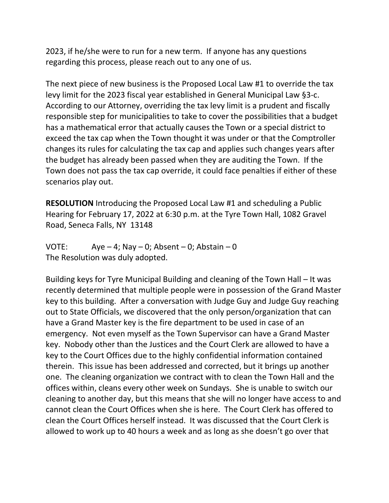2023, if he/she were to run for a new term. If anyone has any questions regarding this process, please reach out to any one of us.

The next piece of new business is the Proposed Local Law #1 to override the tax levy limit for the 2023 fiscal year established in General Municipal Law §3-c. According to our Attorney, overriding the tax levy limit is a prudent and fiscally responsible step for municipalities to take to cover the possibilities that a budget has a mathematical error that actually causes the Town or a special district to exceed the tax cap when the Town thought it was under or that the Comptroller changes its rules for calculating the tax cap and applies such changes years after the budget has already been passed when they are auditing the Town. If the Town does not pass the tax cap override, it could face penalties if either of these scenarios play out.

**RESOLUTION** Introducing the Proposed Local Law #1 and scheduling a Public Hearing for February 17, 2022 at 6:30 p.m. at the Tyre Town Hall, 1082 Gravel Road, Seneca Falls, NY 13148

VOTE: Aye – 4; Nay – 0; Absent – 0; Abstain – 0 The Resolution was duly adopted.

Building keys for Tyre Municipal Building and cleaning of the Town Hall – It was recently determined that multiple people were in possession of the Grand Master key to this building. After a conversation with Judge Guy and Judge Guy reaching out to State Officials, we discovered that the only person/organization that can have a Grand Master key is the fire department to be used in case of an emergency. Not even myself as the Town Supervisor can have a Grand Master key. Nobody other than the Justices and the Court Clerk are allowed to have a key to the Court Offices due to the highly confidential information contained therein. This issue has been addressed and corrected, but it brings up another one. The cleaning organization we contract with to clean the Town Hall and the offices within, cleans every other week on Sundays. She is unable to switch our cleaning to another day, but this means that she will no longer have access to and cannot clean the Court Offices when she is here. The Court Clerk has offered to clean the Court Offices herself instead. It was discussed that the Court Clerk is allowed to work up to 40 hours a week and as long as she doesn't go over that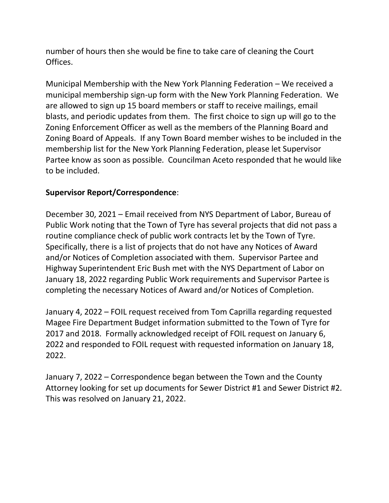number of hours then she would be fine to take care of cleaning the Court Offices.

Municipal Membership with the New York Planning Federation – We received a municipal membership sign-up form with the New York Planning Federation. We are allowed to sign up 15 board members or staff to receive mailings, email blasts, and periodic updates from them. The first choice to sign up will go to the Zoning Enforcement Officer as well as the members of the Planning Board and Zoning Board of Appeals. If any Town Board member wishes to be included in the membership list for the New York Planning Federation, please let Supervisor Partee know as soon as possible. Councilman Aceto responded that he would like to be included.

## **Supervisor Report/Correspondence**:

December 30, 2021 – Email received from NYS Department of Labor, Bureau of Public Work noting that the Town of Tyre has several projects that did not pass a routine compliance check of public work contracts let by the Town of Tyre. Specifically, there is a list of projects that do not have any Notices of Award and/or Notices of Completion associated with them. Supervisor Partee and Highway Superintendent Eric Bush met with the NYS Department of Labor on January 18, 2022 regarding Public Work requirements and Supervisor Partee is completing the necessary Notices of Award and/or Notices of Completion.

January 4, 2022 – FOIL request received from Tom Caprilla regarding requested Magee Fire Department Budget information submitted to the Town of Tyre for 2017 and 2018. Formally acknowledged receipt of FOIL request on January 6, 2022 and responded to FOIL request with requested information on January 18, 2022.

January 7, 2022 – Correspondence began between the Town and the County Attorney looking for set up documents for Sewer District #1 and Sewer District #2. This was resolved on January 21, 2022.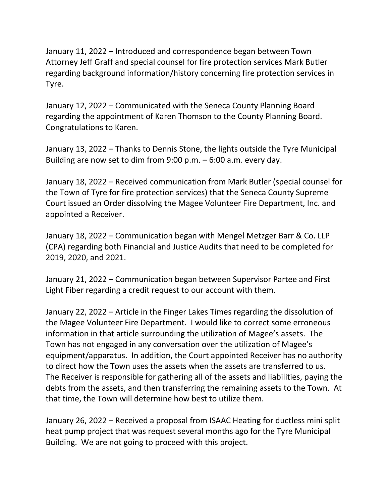January 11, 2022 – Introduced and correspondence began between Town Attorney Jeff Graff and special counsel for fire protection services Mark Butler regarding background information/history concerning fire protection services in Tyre.

January 12, 2022 – Communicated with the Seneca County Planning Board regarding the appointment of Karen Thomson to the County Planning Board. Congratulations to Karen.

January 13, 2022 – Thanks to Dennis Stone, the lights outside the Tyre Municipal Building are now set to dim from 9:00 p.m. – 6:00 a.m. every day.

January 18, 2022 – Received communication from Mark Butler (special counsel for the Town of Tyre for fire protection services) that the Seneca County Supreme Court issued an Order dissolving the Magee Volunteer Fire Department, Inc. and appointed a Receiver.

January 18, 2022 – Communication began with Mengel Metzger Barr & Co. LLP (CPA) regarding both Financial and Justice Audits that need to be completed for 2019, 2020, and 2021.

January 21, 2022 – Communication began between Supervisor Partee and First Light Fiber regarding a credit request to our account with them.

January 22, 2022 – Article in the Finger Lakes Times regarding the dissolution of the Magee Volunteer Fire Department. I would like to correct some erroneous information in that article surrounding the utilization of Magee's assets. The Town has not engaged in any conversation over the utilization of Magee's equipment/apparatus. In addition, the Court appointed Receiver has no authority to direct how the Town uses the assets when the assets are transferred to us. The Receiver is responsible for gathering all of the assets and liabilities, paying the debts from the assets, and then transferring the remaining assets to the Town. At that time, the Town will determine how best to utilize them.

January 26, 2022 – Received a proposal from ISAAC Heating for ductless mini split heat pump project that was request several months ago for the Tyre Municipal Building. We are not going to proceed with this project.